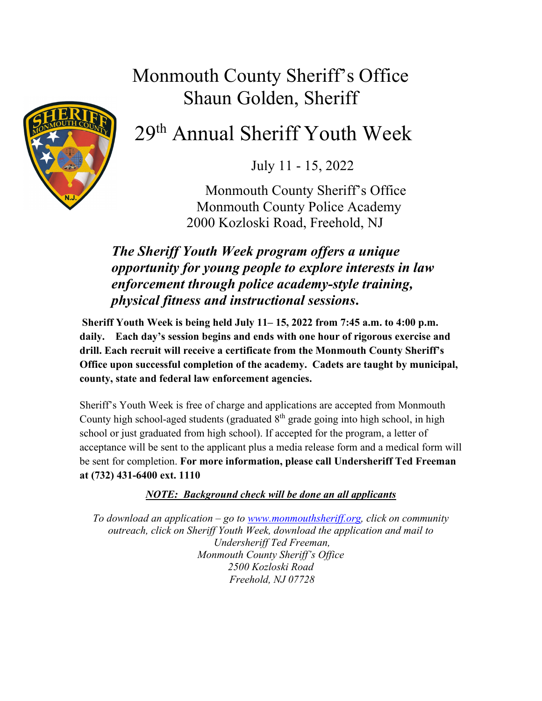## Monmouth County Sheriff's Office Shaun Golden, Sheriff



# 29th Annual Sheriff Youth Week

July 11 - 15, 2022

 Monmouth County Sheriff's Office Monmouth County Police Academy 2000 Kozloski Road, Freehold, NJ

### *The Sheriff Youth Week program offers a unique opportunity for young people to explore interests in law enforcement through police academy-style training, physical fitness and instructional sessions***.**

**Sheriff Youth Week is being held July 11– 15, 2022 from 7:45 a.m. to 4:00 p.m. daily. Each day's session begins and ends with one hour of rigorous exercise and drill. Each recruit will receive a certificate from the Monmouth County Sheriff's Office upon successful completion of the academy. Cadets are taught by municipal, county, state and federal law enforcement agencies.**

Sheriff's Youth Week is free of charge and applications are accepted from Monmouth County high school-aged students (graduated  $8<sup>th</sup>$  grade going into high school, in high school or just graduated from high school). If accepted for the program, a letter of acceptance will be sent to the applicant plus a media release form and a medical form will be sent for completion. **For more information, please call Undersheriff Ted Freeman at (732) 431-6400 ext. 1110**

#### *NOTE: Background check will be done an all applicants*

*To download an application – go to [www.monmouthsheriff.org,](http://www.monmouthsheriff.org/) click on community outreach, click on Sheriff Youth Week, download the application and mail to Undersheriff Ted Freeman, Monmouth County Sheriff's Office 2500 Kozloski Road Freehold, NJ 07728*